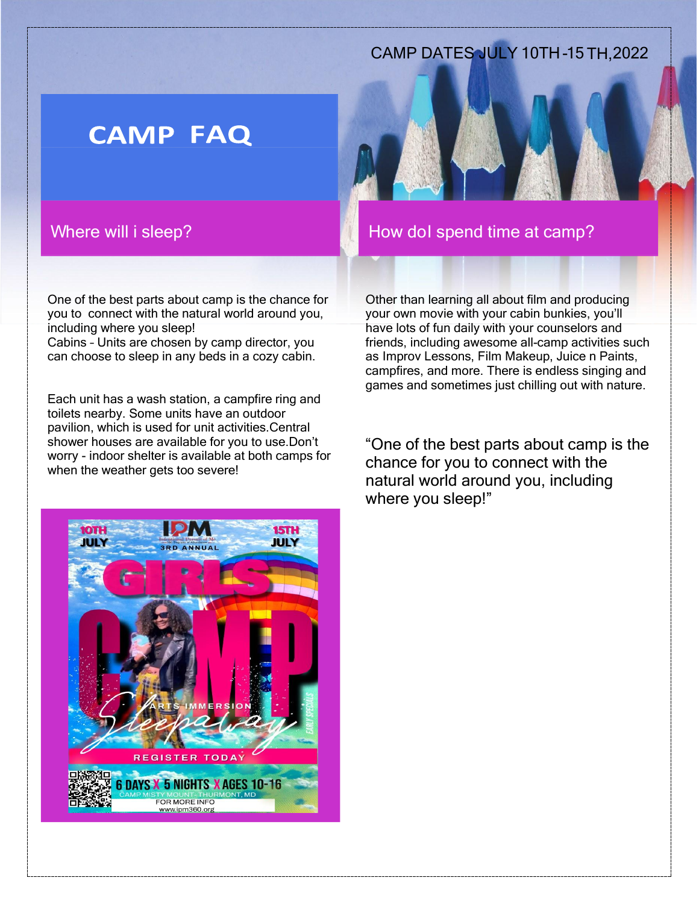## CAMP DATES JULY 10TH-15 TH, 2022

# **CAMP FAQ**

## Where will i sleep?

One of the best parts about camp is the chance for you to connect with the natural world around you, including where you sleep!

Cabins – Units are chosen by camp director, you can choose to sleep in any beds in a cozy cabin.

Each unit has a wash station, a campfire ring and toilets nearby. Some units have an outdoor pavilion, which is used for unit activities.Central shower houses are available for you to use.Don't worry - indoor shelter is available at both camps for when the weather gets too severe!



Other than learning all about film and producing your own movie with your cabin bunkies, you'll have lots of fun daily with your counselors and friends, including awesome all-camp activities such as Improv Lessons, Film Makeup, Juice n Paints, campfires, and more. There is endless singing and games and sometimes just chilling out with nature.

"One of the best parts about camp is the chance for you to connect with the natural world around you, including where you sleep!"